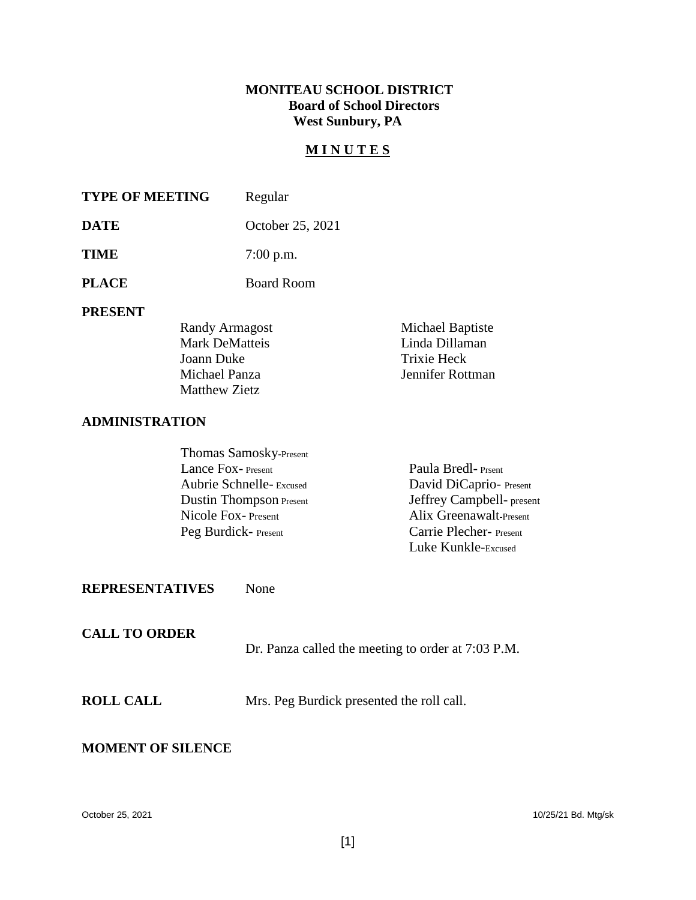## **MONITEAU SCHOOL DISTRICT Board of School Directors West Sunbury, PA**

## **M I N U T E S**

| <b>TYPE OF MEETING</b> | Regular          |
|------------------------|------------------|
| <b>DATE</b>            | October 25, 2021 |
| <b>TIME</b>            | $7:00$ p.m.      |
| <b>PLACE</b>           | Board Room       |

#### **PRESENT**

| Randy Armagost        | Michael Baptiste |
|-----------------------|------------------|
| <b>Mark DeMatteis</b> | Linda Dillaman   |
| Joann Duke            | Trixie Heck      |
| Michael Panza         | Jennifer Rottman |
| Matthew Zietz         |                  |

### **ADMINISTRATION**

| Thomas Samosky-Present         |                           |
|--------------------------------|---------------------------|
| Lance Fox-Present              | Paula Bredl-Prsent        |
| Aubrie Schnelle-Excused        | David DiCaprio-Present    |
| <b>Dustin Thompson Present</b> | Jeffrey Campbell- present |
| Nicole Fox-Present             | Alix Greenawalt-Present   |
| Peg Burdick-Present            | Carrie Plecher- Present   |
|                                | Luke Kunkle-Excused       |

## **REPRESENTATIVES** None

| <b>CALL TO ORDER</b> | Dr. Panza called the meeting to order at 7:03 P.M. |
|----------------------|----------------------------------------------------|
| <b>ROLL CALL</b>     | Mrs. Peg Burdick presented the roll call.          |

#### **MOMENT OF SILENCE**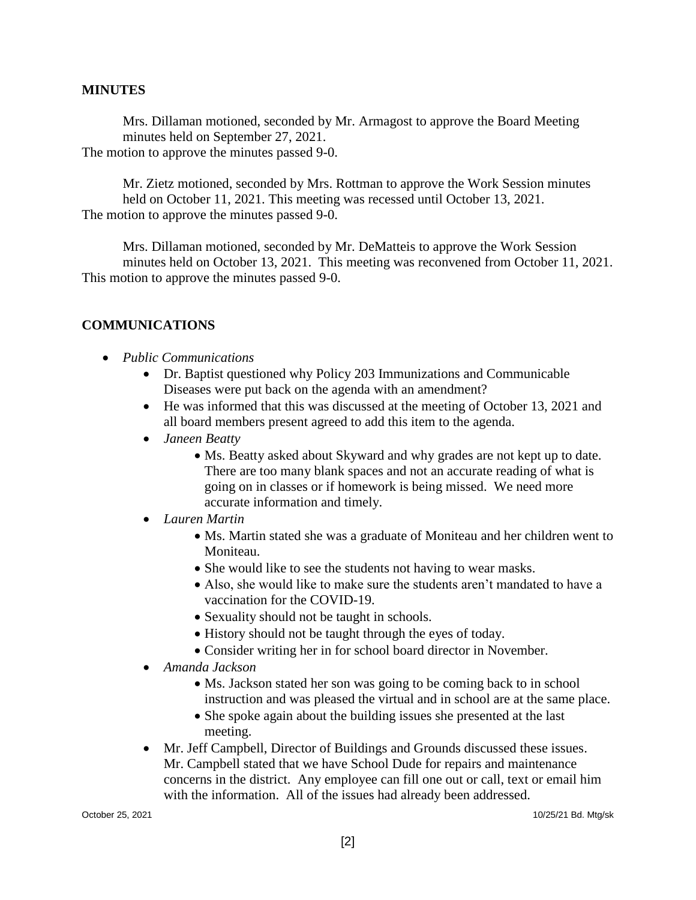#### **MINUTES**

Mrs. Dillaman motioned, seconded by Mr. Armagost to approve the Board Meeting minutes held on September 27, 2021. The motion to approve the minutes passed 9-0.

 Mr. Zietz motioned, seconded by Mrs. Rottman to approve the Work Session minutes held on October 11, 2021. This meeting was recessed until October 13, 2021. The motion to approve the minutes passed 9-0.

Mrs. Dillaman motioned, seconded by Mr. DeMatteis to approve the Work Session minutes held on October 13, 2021. This meeting was reconvened from October 11, 2021. This motion to approve the minutes passed 9-0.

### **COMMUNICATIONS**

- *Public Communications*
	- Dr. Baptist questioned why Policy 203 Immunizations and Communicable Diseases were put back on the agenda with an amendment?
	- He was informed that this was discussed at the meeting of October 13, 2021 and all board members present agreed to add this item to the agenda.
	- *Janeen Beatty*
		- Ms. Beatty asked about Skyward and why grades are not kept up to date. There are too many blank spaces and not an accurate reading of what is going on in classes or if homework is being missed. We need more accurate information and timely.
	- *Lauren Martin*
		- Ms. Martin stated she was a graduate of Moniteau and her children went to Moniteau.
		- She would like to see the students not having to wear masks.
		- Also, she would like to make sure the students aren't mandated to have a vaccination for the COVID-19.
		- Sexuality should not be taught in schools.
		- History should not be taught through the eyes of today.
		- Consider writing her in for school board director in November.
	- *Amanda Jackson*
		- Ms. Jackson stated her son was going to be coming back to in school instruction and was pleased the virtual and in school are at the same place.
		- She spoke again about the building issues she presented at the last meeting.
	- Mr. Jeff Campbell, Director of Buildings and Grounds discussed these issues. Mr. Campbell stated that we have School Dude for repairs and maintenance concerns in the district. Any employee can fill one out or call, text or email him with the information. All of the issues had already been addressed.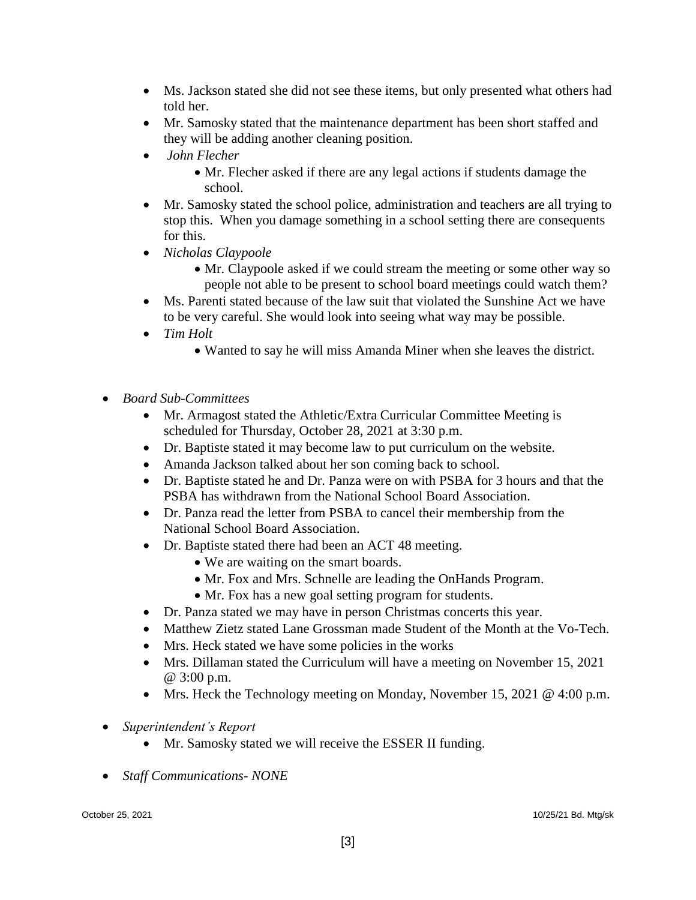- Ms. Jackson stated she did not see these items, but only presented what others had told her.
- Mr. Samosky stated that the maintenance department has been short staffed and they will be adding another cleaning position.
- *John Flecher*
	- Mr. Flecher asked if there are any legal actions if students damage the school.
- Mr. Samosky stated the school police, administration and teachers are all trying to stop this. When you damage something in a school setting there are consequents for this.
- *Nicholas Claypoole*
	- Mr. Claypoole asked if we could stream the meeting or some other way so people not able to be present to school board meetings could watch them?
- Ms. Parenti stated because of the law suit that violated the Sunshine Act we have to be very careful. She would look into seeing what way may be possible.
- *Tim Holt*
	- Wanted to say he will miss Amanda Miner when she leaves the district.
- *Board Sub-Committees*
	- Mr. Armagost stated the Athletic/Extra Curricular Committee Meeting is scheduled for Thursday, October 28, 2021 at 3:30 p.m.
	- Dr. Baptiste stated it may become law to put curriculum on the website.
	- Amanda Jackson talked about her son coming back to school.
	- Dr. Baptiste stated he and Dr. Panza were on with PSBA for 3 hours and that the PSBA has withdrawn from the National School Board Association.
	- Dr. Panza read the letter from PSBA to cancel their membership from the National School Board Association.
	- Dr. Baptiste stated there had been an ACT 48 meeting.
		- We are waiting on the smart boards.
		- Mr. Fox and Mrs. Schnelle are leading the OnHands Program.
		- Mr. Fox has a new goal setting program for students.
	- Dr. Panza stated we may have in person Christmas concerts this year.
	- Matthew Zietz stated Lane Grossman made Student of the Month at the Vo-Tech.
	- Mrs. Heck stated we have some policies in the works
	- Mrs. Dillaman stated the Curriculum will have a meeting on November 15, 2021 @ 3:00 p.m.
	- Mrs. Heck the Technology meeting on Monday, November 15, 2021 @ 4:00 p.m.
- *Superintendent's Report*
	- Mr. Samosky stated we will receive the ESSER II funding.
- *Staff Communications- NONE*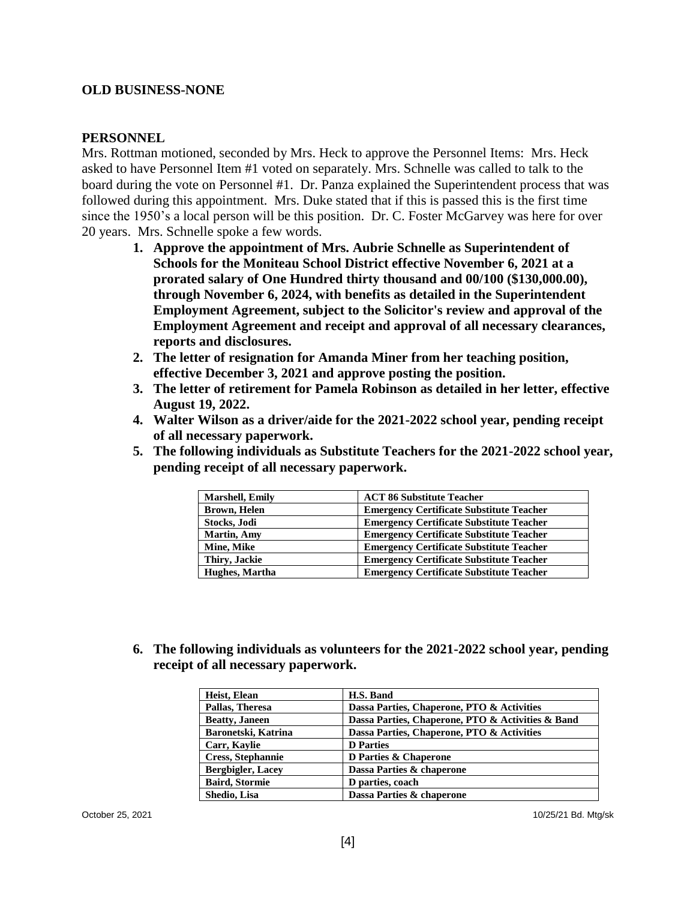#### **OLD BUSINESS-NONE**

#### **PERSONNEL**

Mrs. Rottman motioned, seconded by Mrs. Heck to approve the Personnel Items: Mrs. Heck asked to have Personnel Item #1 voted on separately. Mrs. Schnelle was called to talk to the board during the vote on Personnel #1. Dr. Panza explained the Superintendent process that was followed during this appointment. Mrs. Duke stated that if this is passed this is the first time since the 1950's a local person will be this position. Dr. C. Foster McGarvey was here for over 20 years. Mrs. Schnelle spoke a few words.

- **1. Approve the appointment of Mrs. Aubrie Schnelle as Superintendent of Schools for the Moniteau School District effective November 6, 2021 at a prorated salary of One Hundred thirty thousand and 00/100 (\$130,000.00), through November 6, 2024, with benefits as detailed in the Superintendent Employment Agreement, subject to the Solicitor's review and approval of the Employment Agreement and receipt and approval of all necessary clearances, reports and disclosures.**
- **2. The letter of resignation for Amanda Miner from her teaching position, effective December 3, 2021 and approve posting the position.**
- **3. The letter of retirement for Pamela Robinson as detailed in her letter, effective August 19, 2022.**
- **4. Walter Wilson as a driver/aide for the 2021-2022 school year, pending receipt of all necessary paperwork.**
- **5. The following individuals as Substitute Teachers for the 2021-2022 school year, pending receipt of all necessary paperwork.**

| <b>Marshell, Emily</b> | <b>ACT 86 Substitute Teacher</b>                |
|------------------------|-------------------------------------------------|
| <b>Brown, Helen</b>    | <b>Emergency Certificate Substitute Teacher</b> |
| Stocks, Jodi           | <b>Emergency Certificate Substitute Teacher</b> |
| <b>Martin, Amy</b>     | <b>Emergency Certificate Substitute Teacher</b> |
| Mine, Mike             | <b>Emergency Certificate Substitute Teacher</b> |
| Thiry, Jackie          | <b>Emergency Certificate Substitute Teacher</b> |
| Hughes, Martha         | <b>Emergency Certificate Substitute Teacher</b> |

**6. The following individuals as volunteers for the 2021-2022 school year, pending receipt of all necessary paperwork.**

| Heist, Elean             | H.S. Band                                         |
|--------------------------|---------------------------------------------------|
| Pallas, Theresa          | Dassa Parties, Chaperone, PTO & Activities        |
| <b>Beatty, Janeen</b>    | Dassa Parties, Chaperone, PTO & Activities & Band |
| Baronetski, Katrina      | Dassa Parties, Chaperone, PTO & Activities        |
| Carr, Kaylie             | <b>D</b> Parties                                  |
| <b>Cress, Stephannie</b> | D Parties & Chaperone                             |
| <b>Bergbigler, Lacey</b> | Dassa Parties & chaperone                         |
| <b>Baird, Stormie</b>    | D parties, coach                                  |
| Shedio, Lisa             | Dassa Parties & chaperone                         |

October 25, 2021 10/25/21 Bd. Mtg/sk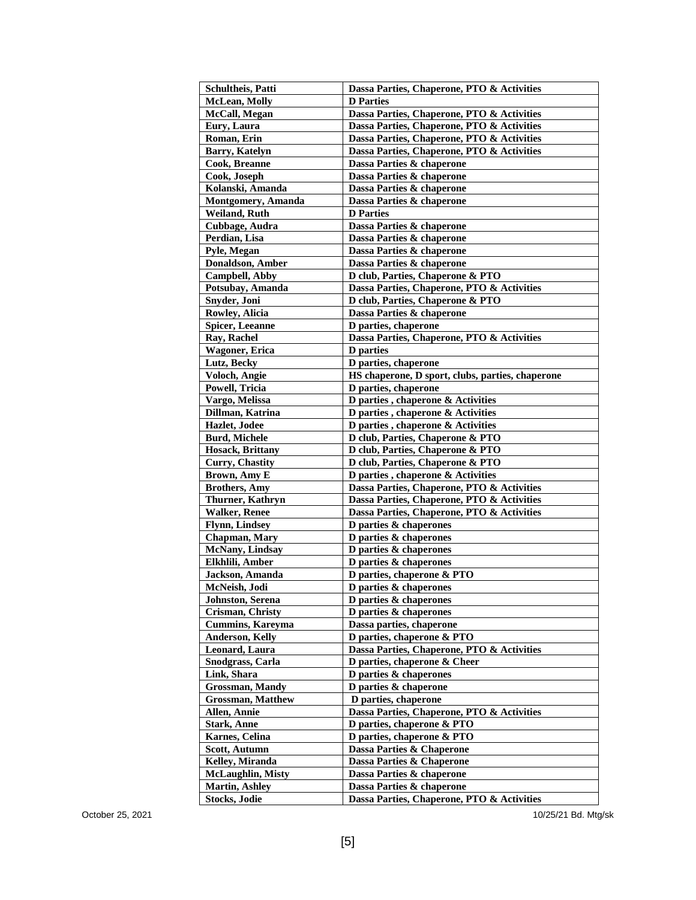| Schultheis, Patti        | Dassa Parties, Chaperone, PTO & Activities       |
|--------------------------|--------------------------------------------------|
| <b>McLean, Molly</b>     | <b>D</b> Parties                                 |
| McCall, Megan            | Dassa Parties, Chaperone, PTO & Activities       |
| Eury, Laura              | Dassa Parties, Chaperone, PTO & Activities       |
| Roman, Erin              | Dassa Parties, Chaperone, PTO & Activities       |
| <b>Barry, Katelyn</b>    | Dassa Parties, Chaperone, PTO & Activities       |
| <b>Cook, Breanne</b>     | Dassa Parties & chaperone                        |
| Cook, Joseph             | Dassa Parties & chaperone                        |
| Kolanski, Amanda         | Dassa Parties & chaperone                        |
| Montgomery, Amanda       | Dassa Parties & chaperone                        |
| Weiland, Ruth            | <b>D</b> Parties                                 |
| Cubbage, Audra           | Dassa Parties & chaperone                        |
| Perdian, Lisa            | Dassa Parties & chaperone                        |
| Pyle, Megan              | Dassa Parties & chaperone                        |
| <b>Donaldson</b> , Amber | Dassa Parties & chaperone                        |
| <b>Campbell</b> , Abby   | D club, Parties, Chaperone & PTO                 |
| Potsubay, Amanda         | Dassa Parties, Chaperone, PTO & Activities       |
| Snyder, Joni             | D club, Parties, Chaperone & PTO                 |
| Rowley, Alicia           | Dassa Parties & chaperone                        |
| <b>Spicer, Leeanne</b>   | D parties, chaperone                             |
| Ray, Rachel              | Dassa Parties, Chaperone, PTO & Activities       |
| <b>Wagoner</b> , Erica   | <b>D</b> parties                                 |
| Lutz, Becky              | D parties, chaperone                             |
| Voloch, Angie            | HS chaperone, D sport, clubs, parties, chaperone |
| Powell, Tricia           | D parties, chaperone                             |
| Vargo, Melissa           | D parties, chaperone & Activities                |
| Dillman, Katrina         | D parties, chaperone & Activities                |
| Hazlet, Jodee            | D parties, chaperone & Activities                |
| <b>Burd, Michele</b>     | D club, Parties, Chaperone & PTO                 |
| <b>Hosack, Brittany</b>  | D club, Parties, Chaperone & PTO                 |
| <b>Curry, Chastity</b>   | D club, Parties, Chaperone & PTO                 |
| <b>Brown, Amy E</b>      | D parties, chaperone & Activities                |
| <b>Brothers, Amy</b>     | Dassa Parties, Chaperone, PTO & Activities       |
| Thurner, Kathryn         | Dassa Parties, Chaperone, PTO & Activities       |
| <b>Walker, Renee</b>     | Dassa Parties, Chaperone, PTO & Activities       |
| <b>Flynn, Lindsey</b>    | D parties & chaperones                           |
| <b>Chapman</b> , Mary    | D parties & chaperones                           |
| McNany, Lindsay          | D parties & chaperones                           |
| Elkhlili, Amber          | D parties & chaperones                           |
| Jackson, Amanda          | D parties, chaperone & PTO                       |
| McNeish, Jodi            | D parties & chaperones                           |
| Johnston, Serena         | D parties & chaperones                           |
| Crisman, Christy         | D parties & chaperones                           |
| <b>Cummins, Kareyma</b>  | Dassa parties, chaperone                         |
| <b>Anderson, Kelly</b>   | D parties, chaperone & PTO                       |
| Leonard, Laura           | Dassa Parties, Chaperone, PTO & Activities       |
| <b>Snodgrass, Carla</b>  | D parties, chaperone & Cheer                     |
| Link, Shara              | D parties $\&$ chaperones                        |
| <b>Grossman, Mandy</b>   | D parties & chaperone                            |
| <b>Grossman, Matthew</b> | D parties, chaperone                             |
| Allen, Annie             | Dassa Parties, Chaperone, PTO & Activities       |
| <b>Stark, Anne</b>       | D parties, chaperone & PTO                       |
| Karnes, Celina           | D parties, chaperone & PTO                       |
| Scott, Autumn            | Dassa Parties & Chaperone                        |
| Kelley, Miranda          | Dassa Parties & Chaperone                        |
| <b>McLaughlin, Misty</b> | Dassa Parties & chaperone                        |
| <b>Martin, Ashley</b>    | Dassa Parties & chaperone                        |
| <b>Stocks, Jodie</b>     | Dassa Parties, Chaperone, PTO & Activities       |

October 25, 2021 2021 Bd. Mtg/sk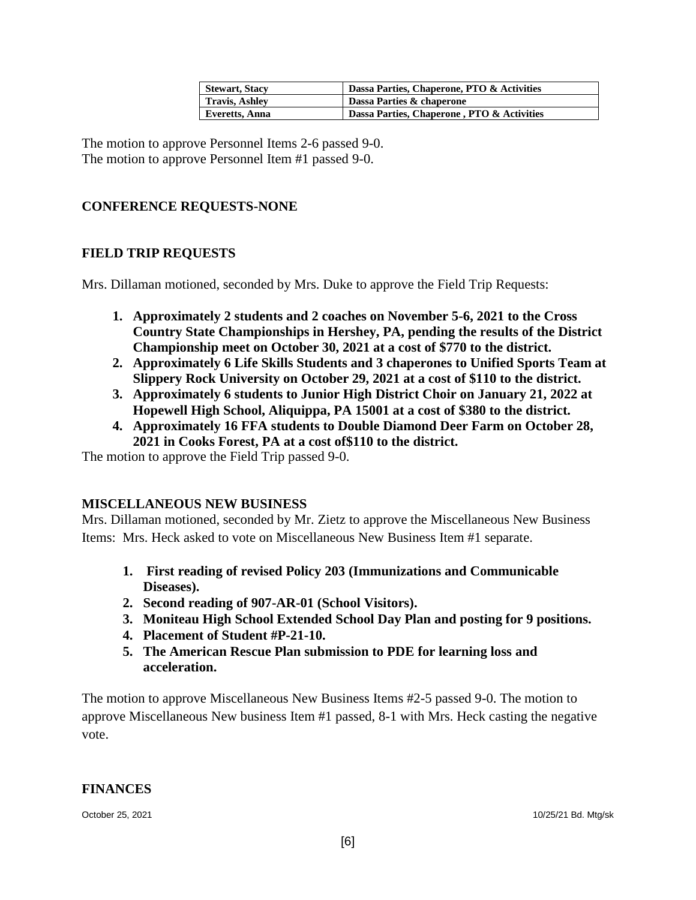| Stewart, Stacy | Dassa Parties, Chaperone, PTO & Activities |
|----------------|--------------------------------------------|
| Travis, Ashley | Dassa Parties & chaperone                  |
| Everetts, Anna | Dassa Parties, Chaperone, PTO & Activities |

The motion to approve Personnel Items 2-6 passed 9-0. The motion to approve Personnel Item #1 passed 9-0.

## **CONFERENCE REQUESTS-NONE**

## **FIELD TRIP REQUESTS**

Mrs. Dillaman motioned, seconded by Mrs. Duke to approve the Field Trip Requests:

- **1. Approximately 2 students and 2 coaches on November 5-6, 2021 to the Cross Country State Championships in Hershey, PA, pending the results of the District Championship meet on October 30, 2021 at a cost of \$770 to the district.**
- **2. Approximately 6 Life Skills Students and 3 chaperones to Unified Sports Team at Slippery Rock University on October 29, 2021 at a cost of \$110 to the district.**
- **3. Approximately 6 students to Junior High District Choir on January 21, 2022 at Hopewell High School, Aliquippa, PA 15001 at a cost of \$380 to the district.**
- **4. Approximately 16 FFA students to Double Diamond Deer Farm on October 28, 2021 in Cooks Forest, PA at a cost of\$110 to the district.**

The motion to approve the Field Trip passed 9-0.

### **MISCELLANEOUS NEW BUSINESS**

Mrs. Dillaman motioned, seconded by Mr. Zietz to approve the Miscellaneous New Business Items: Mrs. Heck asked to vote on Miscellaneous New Business Item #1 separate.

- **1. First reading of revised Policy 203 (Immunizations and Communicable Diseases).**
- **2. Second reading of 907-AR-01 (School Visitors).**
- **3. Moniteau High School Extended School Day Plan and posting for 9 positions.**
- **4. Placement of Student #P-21-10.**
- **5. The American Rescue Plan submission to PDE for learning loss and acceleration.**

The motion to approve Miscellaneous New Business Items #2-5 passed 9-0. The motion to approve Miscellaneous New business Item #1 passed, 8-1 with Mrs. Heck casting the negative vote.

#### **FINANCES**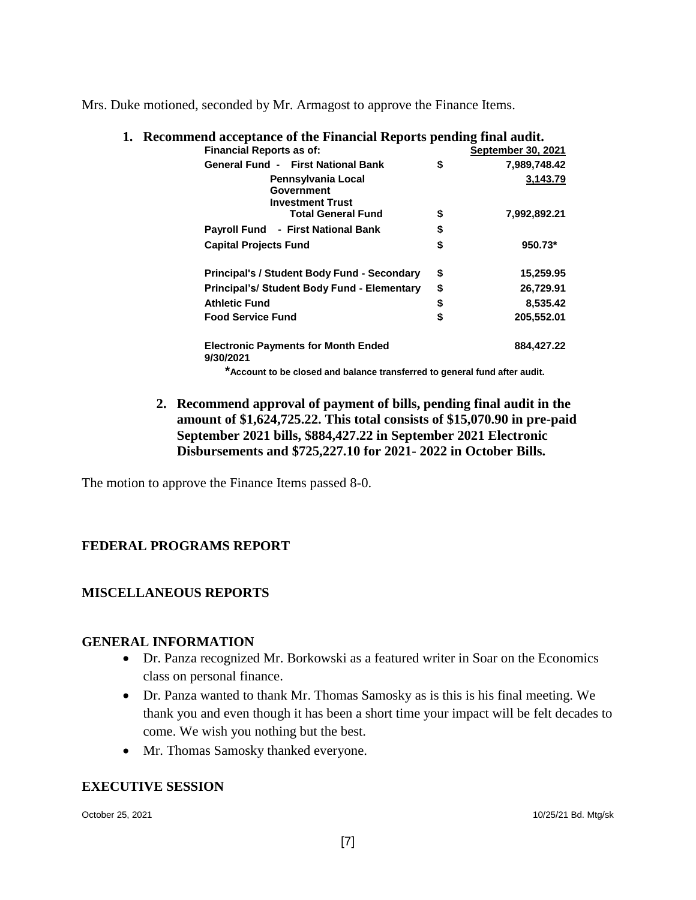Mrs. Duke motioned, seconded by Mr. Armagost to approve the Finance Items.

| onnicha acceptance of the Financial Reports pending final adult. |                    |
|------------------------------------------------------------------|--------------------|
| <b>Financial Reports as of:</b>                                  | September 30, 2021 |
| <b>General Fund - First National Bank</b>                        | \$<br>7,989,748.42 |
| Pennsylvania Local                                               | 3,143.79           |
| Government                                                       |                    |
| <b>Investment Trust</b>                                          |                    |
| <b>Total General Fund</b>                                        | \$<br>7,992,892.21 |
| Payroll Fund - First National Bank                               | \$                 |
| <b>Capital Projects Fund</b>                                     | \$<br>950.73*      |
| <b>Principal's / Student Body Fund - Secondary</b>               | \$<br>15,259.95    |
| Principal's/ Student Body Fund - Elementary                      | \$<br>26,729.91    |
| <b>Athletic Fund</b>                                             | \$<br>8,535.42     |
| <b>Food Service Fund</b>                                         | \$<br>205,552.01   |
| <b>Electronic Payments for Month Ended</b><br>9/30/2021          | 884,427.22         |

**1. Recommend acceptance of the Financial Reports pending final audit.**

**\*Account to be closed and balance transferred to general fund after audit.**

**2. Recommend approval of payment of bills, pending final audit in the amount of \$1,624,725.22. This total consists of \$15,070.90 in pre-paid September 2021 bills, \$884,427.22 in September 2021 Electronic Disbursements and \$725,227.10 for 2021- 2022 in October Bills.**

The motion to approve the Finance Items passed 8-0.

## **FEDERAL PROGRAMS REPORT**

## **MISCELLANEOUS REPORTS**

### **GENERAL INFORMATION**

- Dr. Panza recognized Mr. Borkowski as a featured writer in Soar on the Economics class on personal finance.
- Dr. Panza wanted to thank Mr. Thomas Samosky as is this is his final meeting. We thank you and even though it has been a short time your impact will be felt decades to come. We wish you nothing but the best.
- Mr. Thomas Samosky thanked everyone.

### **EXECUTIVE SESSION**